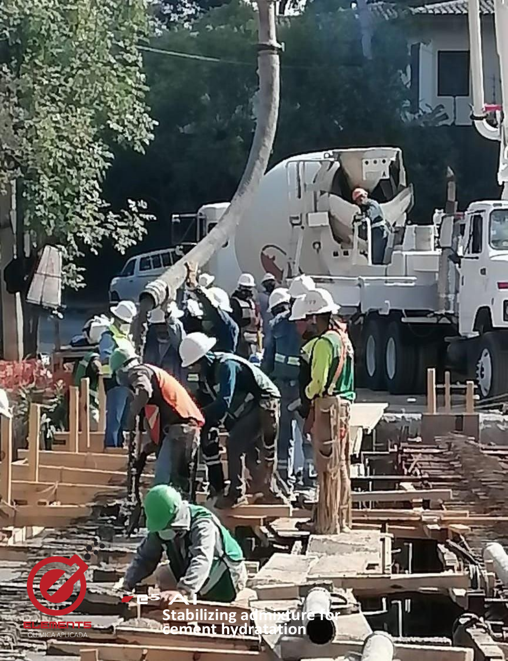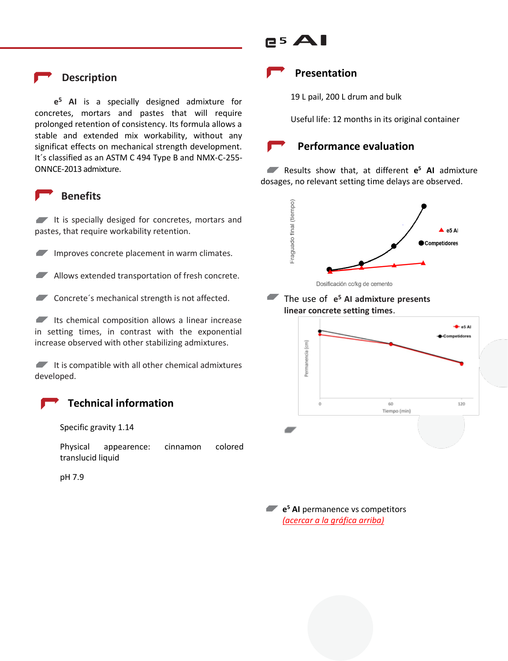## **Description**

**e <sup>5</sup> AI** is a specially designed admixture for concretes, mortars and pastes that will require prolonged retention of consistency. Its formula allows a stable and extended mix workability, without any significat effects on mechanical strength development. It´s classified as an ASTM C 494 Type B and NMX-C-255- ONNCE-2013 admixture.

## **Benefits**

It is specially desiged for concretes, mortars and pastes, that require workability retention.

Improves concrete placement in warm climates.

Allows extended transportation of fresh concrete.

Concrete's mechanical strength is not affected.

 $\blacksquare$  Its chemical composition allows a linear increase in setting times, in contrast with the exponential increase observed with other stabilizing admixtures.

 $\blacksquare$  It is compatible with all other chemical admixtures developed.

#### **Technical information**

Specific gravity 1.14

Physical appearence: cinnamon colored translucid liquid

pH 7.9

# <sup>5</sup>**AI**

### **Presentation**

19 L pail, 200 L drum and bulk

Useful life: 12 months in its original container

#### **Performance evaluation**

Results show that, at different **e <sup>5</sup> AI** admixture dosages, no relevant setting time delays are observed.



#### The use of **e <sup>5</sup> AI admixture presents linear concrete setting times**.



**e <sup>5</sup> AI** permanence vs competitors *(acercar a la gráfica arriba)*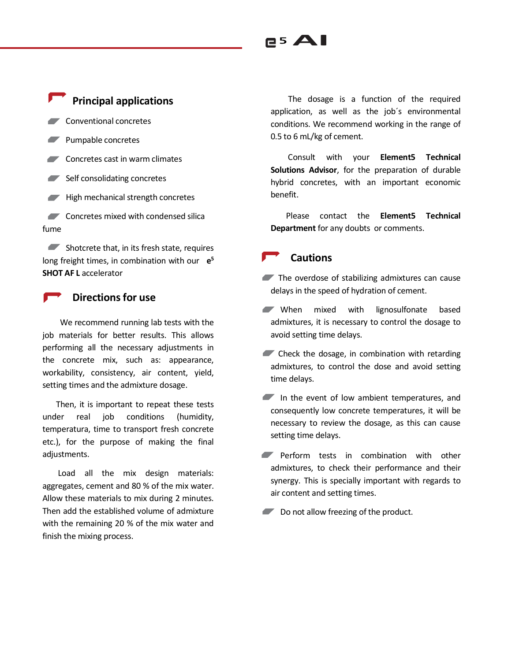# **Principal applications**

Conventional concretes

- Pumpable concretes
- Concretes cast in warm climates
- $\blacksquare$  Self consolidating concretes
- $H$  High mechanical strength concretes

**Concretes mixed with condensed silical** fume

Shotcrete that, in its fresh state, requires long freight times, in combination with our **e 5 SHOT AF L** accelerator

#### **Directions for use**

 We recommend running lab tests with the job materials for better results. This allows performing all the necessary adjustments in the concrete mix, such as: appearance, workability, consistency, air content, yield, setting times and the admixture dosage.

 Then, it is important to repeat these tests under real job conditions (humidity, temperatura, time to transport fresh concrete etc.), for the purpose of making the final adiustments.

 Load all the mix design materials: aggregates, cement and 80 % of the mix water. Allow these materials to mix during 2 minutes. Then add the established volume of admixture with the remaining 20 % of the mix water and finish the mixing process.

 The dosage is a function of the required application, as well as the job´s environmental conditions. We recommend working in the range of 0.5 to 6 mL/kg of cement.

 Consult with your **Element5 Technical Solutions Advisor**, for the preparation of durable hybrid concretes, with an important economic benefit.

 Please contact the **Element5 Technical Department** for any doubts or comments.

#### **Cautions**

<sup>5</sup>**AI**

- The overdose of stabilizing admixtures can cause delays in the speed of hydration of cement.
- When mixed with lignosulfonate based admixtures, it is necessary to control the dosage to avoid setting time delays.
- Check the dosage, in combination with retarding admixtures, to control the dose and avoid setting time delays.
- In the event of low ambient temperatures, and consequently low concrete temperatures, it will be necessary to review the dosage, as this can cause setting time delays.
- **Perform tests in combination with other** admixtures, to check their performance and their synergy. This is specially important with regards to air content and setting times.
- Do not allow freezing of the product.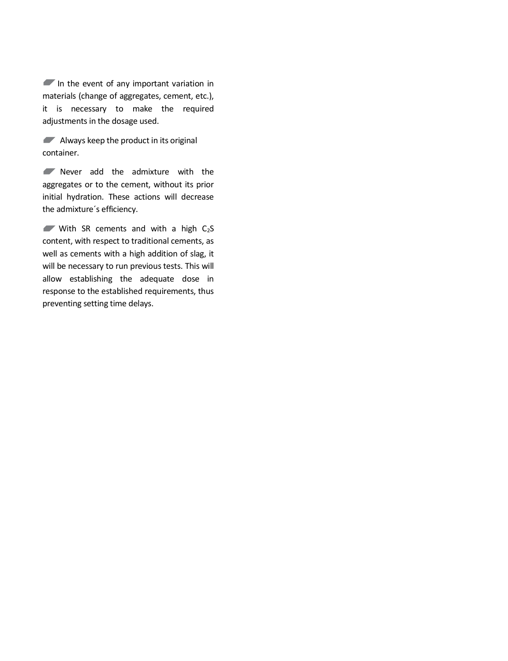In the event of any important variation in materials (change of aggregates, cement, etc.), it is necessary to make the required adjustments in the dosage used.

Always keep the product in its original container.

Never add the admixture with the aggregates or to the cement, without its prior initial hydration. These actions will decrease the admixture´s efficiency.

With SR cements and with a high  $C_2S$ content, with respect to traditional cements, as well as cements with a high addition of slag, it will be necessary to run previous tests. This will allow establishing the adequate dose in response to the established requirements, thus preventing setting time delays.